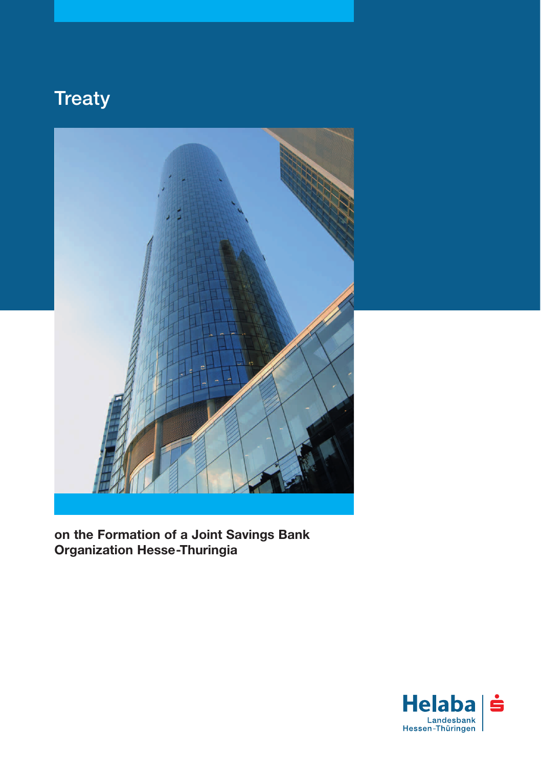# **Treaty**



**on the Formation of a Joint Savings Bank Organization Hesse-Thuringia**

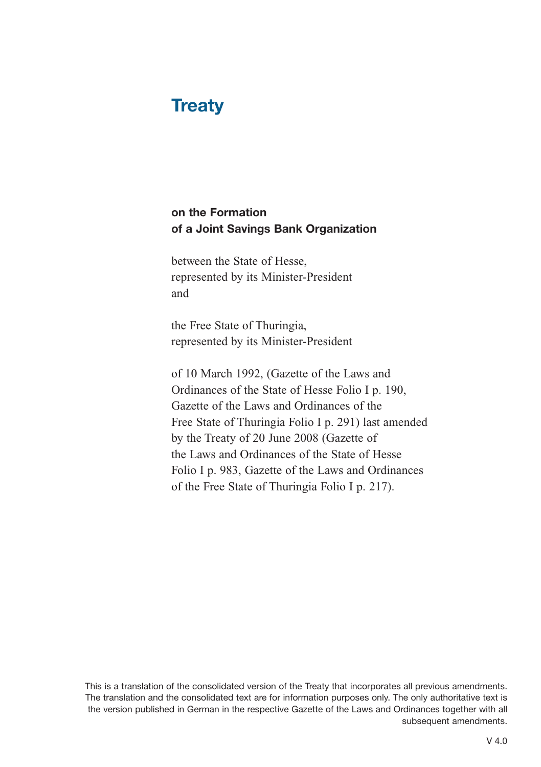## **Treaty**

## **on the Formation of a Joint Savings Bank Organization**

between the State of Hesse, represented by its Minister-President and

the Free State of Thuringia, represented by its Minister-President

of 10 March 1992, (Gazette of the Laws and Ordinances of the State of Hesse Folio I p. 190, Gazette of the Laws and Ordinances of the Free State of Thuringia Folio I p. 291) last amended by the Treaty of 20 June 2008 (Gazette of the Laws and Ordinances of the State of Hesse Folio I p. 983, Gazette of the Laws and Ordinances of the Free State of Thuringia Folio I p. 217).

This is a translation of the consolidated version of the Treaty that incorporates all previous amendments. The translation and the consolidated text are for information purposes only. The only authoritative text is the version published in German in the respective Gazette of the Laws and Ordinances together with all subsequent amendments.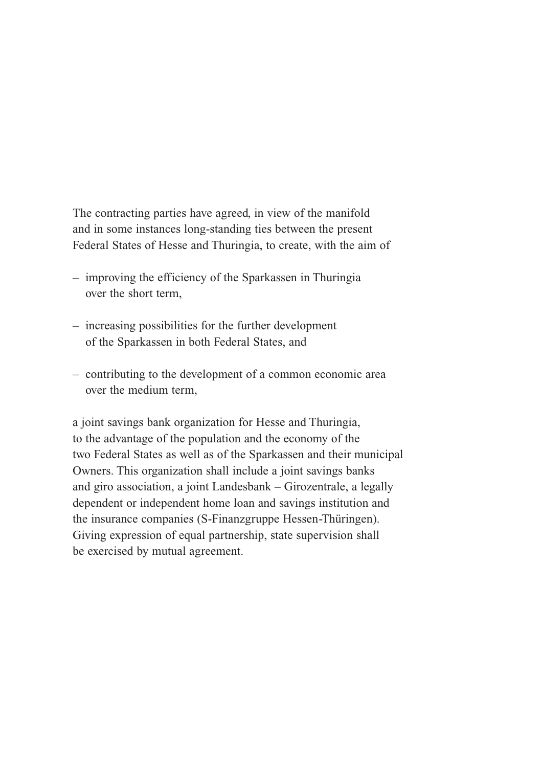The contracting parties have agreed, in view of the manifold and in some instances long-standing ties between the present Federal States of Hesse and Thuringia, to create, with the aim of

- improving the efficiency of the Sparkassen in Thuringia over the short term,
- increasing possibilities for the further development of the Sparkassen in both Federal States, and
- contributing to the development of a common economic area over the medium term,

a joint savings bank organization for Hesse and Thuringia, to the advantage of the population and the economy of the two Federal States as well as of the Sparkassen and their municipal Owners. This organization shall include a joint savings banks and giro association, a joint Landesbank – Girozentrale, a legally dependent or independent home loan and savings institution and the insurance companies (S-Finanzgruppe Hessen-Thüringen). Giving expression of equal partnership, state supervision shall be exercised by mutual agreement.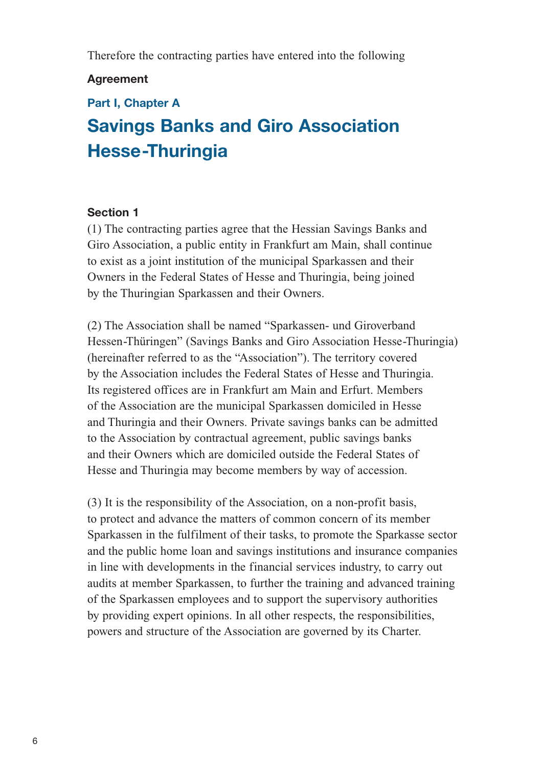Therefore the contracting parties have entered into the following

## **Agreement**

## **Part I, Chapter A**

## **Savings Banks and Giro Association Hesse-Thuringia**

#### **Section 1**

(1) The contracting parties agree that the Hessian Savings Banks and Giro Association, a public entity in Frankfurt am Main, shall continue to exist as a joint institution of the municipal Sparkassen and their Owners in the Federal States of Hesse and Thuringia, being joined by the Thuringian Sparkassen and their Owners.

(2) The Association shall be named "Sparkassen- und Giroverband Hessen-Thüringen" (Savings Banks and Giro Association Hesse-Thuringia) (hereinafter referred to as the "Association"). The territory covered by the Association includes the Federal States of Hesse and Thuringia. Its registered offices are in Frankfurt am Main and Erfurt. Members of the Association are the municipal Sparkassen domiciled in Hesse and Thuringia and their Owners. Private savings banks can be admitted to the Association by contractual agreement, public savings banks and their Owners which are domiciled outside the Federal States of Hesse and Thuringia may become members by way of accession.

(3) It is the responsibility of the Association, on a non-profit basis, to protect and advance the matters of common concern of its member Sparkassen in the fulfilment of their tasks, to promote the Sparkasse sector and the public home loan and savings institutions and insurance companies in line with developments in the financial services industry, to carry out audits at member Sparkassen, to further the training and advanced training of the Sparkassen employees and to support the supervisory authorities by providing expert opinions. In all other respects, the responsibilities, powers and structure of the Association are governed by its Charter.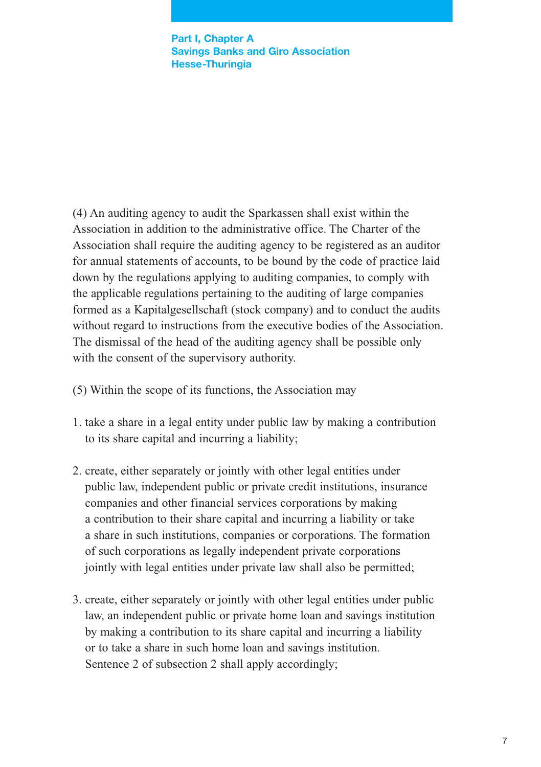**Part I, Chapter A Savings Banks and Giro Association Hesse-Thuringia**

(4) An auditing agency to audit the Sparkassen shall exist within the Association in addition to the administrative office. The Charter of the Association shall require the auditing agency to be registered as an auditor for annual statements of accounts, to be bound by the code of practice laid down by the regulations applying to auditing companies, to comply with the applicable regulations pertaining to the auditing of large companies formed as a Kapitalgesellschaft (stock company) and to conduct the audits without regard to instructions from the executive bodies of the Association. The dismissal of the head of the auditing agency shall be possible only with the consent of the supervisory authority.

- (5) Within the scope of its functions, the Association may
- 1. take a share in a legal entity under public law by making a contribution to its share capital and incurring a liability;
- 2. create, either separately or jointly with other legal entities under public law, independent public or private credit institutions, insurance companies and other financial services corporations by making a contribution to their share capital and incurring a liability or take a share in such institutions, companies or corporations. The formation of such corporations as legally independent private corporations jointly with legal entities under private law shall also be permitted;
- 3. create, either separately or jointly with other legal entities under public law, an independent public or private home loan and savings institution by making a contribution to its share capital and incurring a liability or to take a share in such home loan and savings institution. Sentence 2 of subsection 2 shall apply accordingly;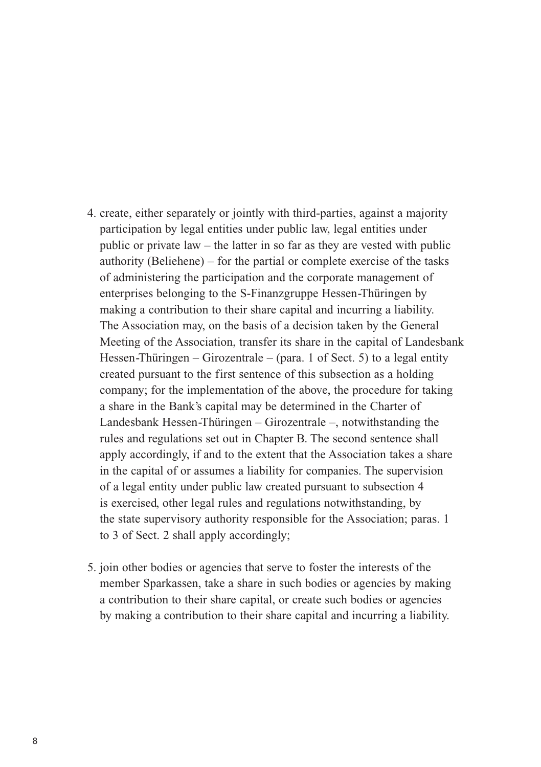- 4. create, either separately or jointly with third-parties, against a majority participation by legal entities under public law, legal entities under public or private law – the latter in so far as they are vested with public authority (Beliehene) – for the partial or complete exercise of the tasks of administering the participation and the corporate management of enterprises belonging to the S-Finanzgruppe Hessen-Thüringen by making a contribution to their share capital and incurring a liability. The Association may, on the basis of a decision taken by the General Meeting of the Association, transfer its share in the capital of Landesbank Hessen-Thüringen – Girozentrale – (para. 1 of Sect. 5) to a legal entity created pursuant to the first sentence of this subsection as a holding company; for the implementation of the above, the procedure for taking a share in the Bank's capital may be determined in the Charter of Landesbank Hessen-Thüringen – Girozentrale –, notwithstanding the rules and regulations set out in Chapter B. The second sentence shall apply accordingly, if and to the extent that the Association takes a share in the capital of or assumes a liability for companies. The supervision of a legal entity under public law created pursuant to subsection 4 is exercised, other legal rules and regulations notwithstanding, by the state supervisory authority responsible for the Association; paras. 1 to 3 of Sect. 2 shall apply accordingly;
- 5. join other bodies or agencies that serve to foster the interests of the member Sparkassen, take a share in such bodies or agencies by making a contribution to their share capital, or create such bodies or agencies by making a contribution to their share capital and incurring a liability.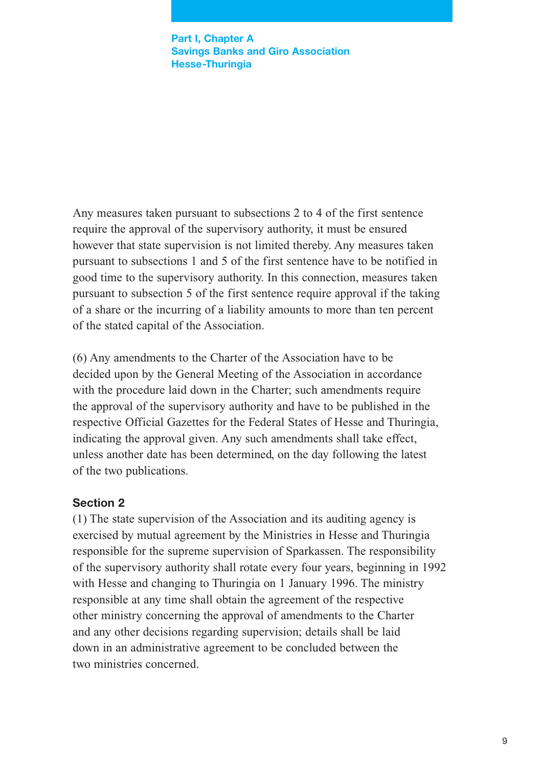**Part I, Chapter A Savings Banks and Giro Association Hesse-Thuringia**

Any measures taken pursuant to subsections 2 to 4 of the first sentence require the approval of the supervisory authority, it must be ensured however that state supervision is not limited thereby. Any measures taken pursuant to subsections 1 and 5 of the first sentence have to be notified in good time to the supervisory authority. In this connection, measures taken pursuant to subsection 5 of the first sentence require approval if the taking of a share or the incurring of a liability amounts to more than ten percent of the stated capital of the Association.

(6) Any amendments to the Charter of the Association have to be decided upon by the General Meeting of the Association in accordance with the procedure laid down in the Charter; such amendments require the approval of the supervisory authority and have to be published in the respective Official Gazettes for the Federal States of Hesse and Thuringia, indicating the approval given. Any such amendments shall take effect, unless another date has been determined, on the day following the latest of the two publications.

## **Section 2**

(1) The state supervision of the Association and its auditing agency is exercised by mutual agreement by the Ministries in Hesse and Thuringia responsible for the supreme supervision of Sparkassen. The responsibility of the supervisory authority shall rotate every four years, beginning in 1992 with Hesse and changing to Thuringia on 1 January 1996. The ministry responsible at any time shall obtain the agreement of the respective other ministry concerning the approval of amendments to the Charter and any other decisions regarding supervision; details shall be laid down in an administrative agreement to be concluded between the two ministries concerned.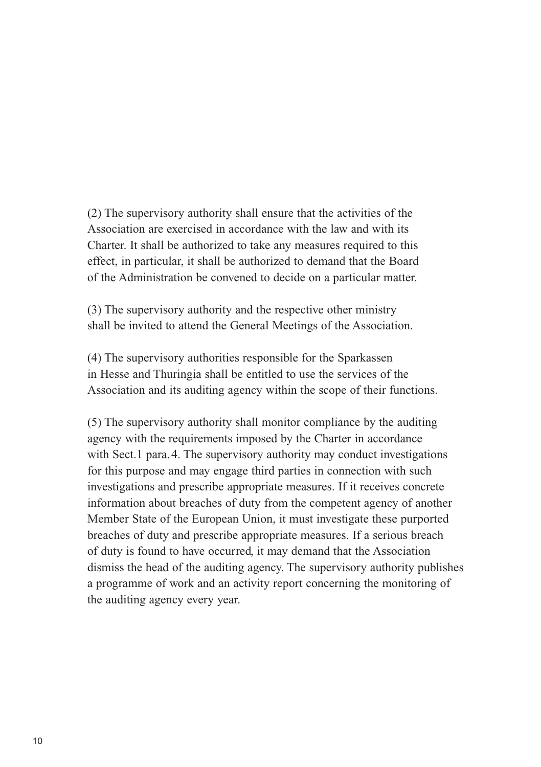(2) The supervisory authority shall ensure that the activities of the Association are exercised in accordance with the law and with its Charter. It shall be authorized to take any measures required to this effect, in particular, it shall be authorized to demand that the Board of the Administration be convened to decide on a particular matter.

(3) The supervisory authority and the respective other ministry shall be invited to attend the General Meetings of the Association.

(4) The supervisory authorities responsible for the Sparkassen in Hesse and Thuringia shall be entitled to use the services of the Association and its auditing agency within the scope of their functions.

(5) The supervisory authority shall monitor compliance by the auditing agency with the requirements imposed by the Charter in accordance with Sect.1 para.4. The supervisory authority may conduct investigations for this purpose and may engage third parties in connection with such investigations and prescribe appropriate measures. If it receives concrete information about breaches of duty from the competent agency of another Member State of the European Union, it must investigate these purported breaches of duty and prescribe appropriate measures. If a serious breach of duty is found to have occurred, it may demand that the Association dismiss the head of the auditing agency. The supervisory authority publishes a programme of work and an activity report concerning the monitoring of the auditing agency every year.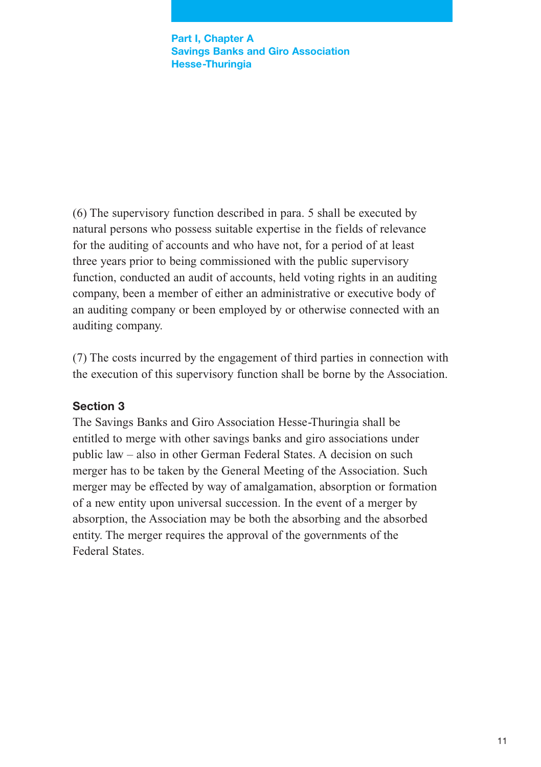**Part I, Chapter A Savings Banks and Giro Association Hesse-Thuringia**

(6) The supervisory function described in para. 5 shall be executed by natural persons who possess suitable expertise in the fields of relevance for the auditing of accounts and who have not, for a period of at least three years prior to being commissioned with the public supervisory function, conducted an audit of accounts, held voting rights in an auditing company, been a member of either an administrative or executive body of an auditing company or been employed by or otherwise connected with an auditing company.

(7) The costs incurred by the engagement of third parties in connection with the execution of this supervisory function shall be borne by the Association.

## **Section 3**

The Savings Banks and Giro Association Hesse-Thuringia shall be entitled to merge with other savings banks and giro associations under public law – also in other German Federal States. A decision on such merger has to be taken by the General Meeting of the Association. Such merger may be effected by way of amalgamation, absorption or formation of a new entity upon universal succession. In the event of a merger by absorption, the Association may be both the absorbing and the absorbed entity. The merger requires the approval of the governments of the Federal States.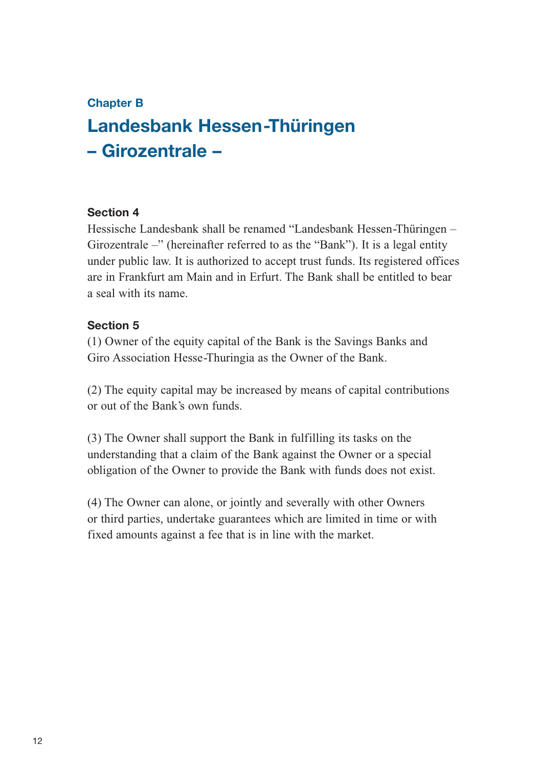## **Chapter B**

# **Landesbank Hessen-Thüringen – Girozentrale –**

### **Section 4**

Hessische Landesbank shall be renamed "Landesbank Hessen-Thüringen – Girozentrale –" (hereinafter referred to as the "Bank"). It is a legal entity under public law. It is authorized to accept trust funds. Its registered offices are in Frankfurt am Main and in Erfurt. The Bank shall be entitled to bear a seal with its name.

## **Section 5**

(1) Owner of the equity capital of the Bank is the Savings Banks and Giro Association Hesse-Thuringia as the Owner of the Bank.

(2) The equity capital may be increased by means of capital contributions or out of the Bank's own funds.

(3) The Owner shall support the Bank in fulfilling its tasks on the understanding that a claim of the Bank against the Owner or a special obligation of the Owner to provide the Bank with funds does not exist.

(4) The Owner can alone, or jointly and severally with other Owners or third parties, undertake guarantees which are limited in time or with fixed amounts against a fee that is in line with the market.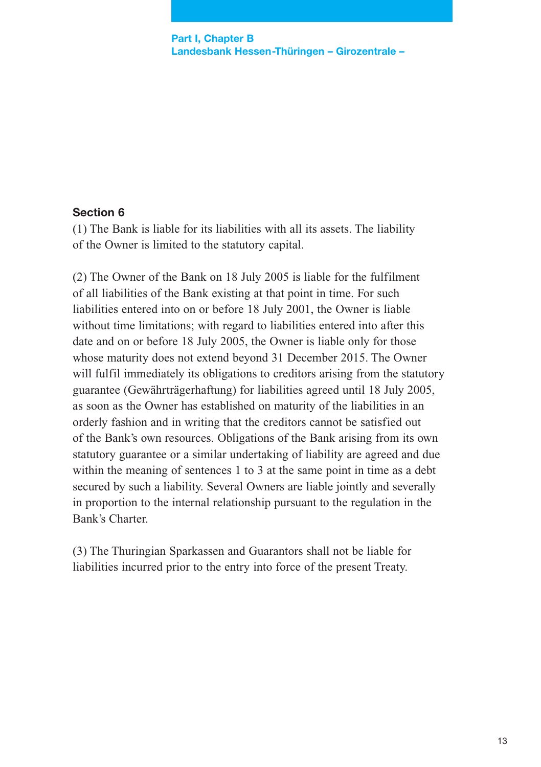## **Section 6**

(1) The Bank is liable for its liabilities with all its assets. The liability of the Owner is limited to the statutory capital.

(2) The Owner of the Bank on 18 July 2005 is liable for the fulfilment of all liabilities of the Bank existing at that point in time. For such liabilities entered into on or before 18 July 2001, the Owner is liable without time limitations; with regard to liabilities entered into after this date and on or before 18 July 2005, the Owner is liable only for those whose maturity does not extend beyond 31 December 2015. The Owner will fulfil immediately its obligations to creditors arising from the statutory guarantee (Gewährträgerhaftung) for liabilities agreed until 18 July 2005, as soon as the Owner has established on maturity of the liabilities in an orderly fashion and in writing that the creditors cannot be satisfied out of the Bank's own resources. Obligations of the Bank arising from its own statutory guarantee or a similar undertaking of liability are agreed and due within the meaning of sentences 1 to 3 at the same point in time as a debt secured by such a liability. Several Owners are liable jointly and severally in proportion to the internal relationship pursuant to the regulation in the Bank's Charter.

(3) The Thuringian Sparkassen and Guarantors shall not be liable for liabilities incurred prior to the entry into force of the present Treaty.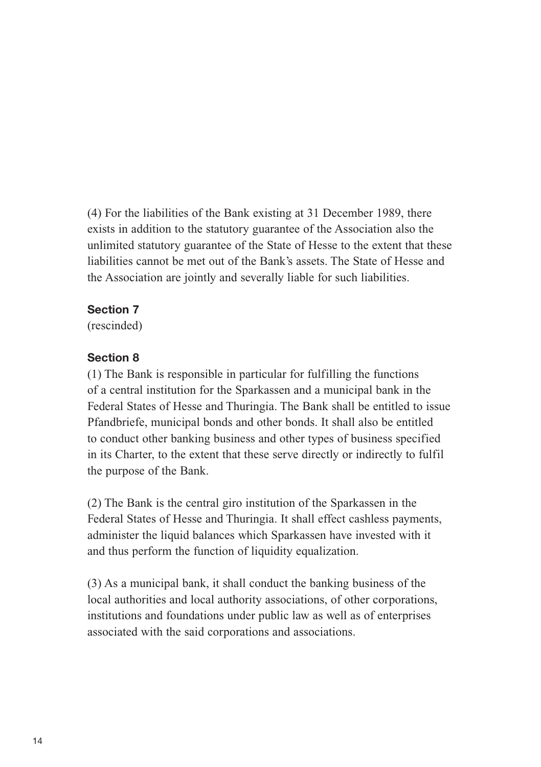(4) For the liabilities of the Bank existing at 31 December 1989, there exists in addition to the statutory guarantee of the Association also the unlimited statutory guarantee of the State of Hesse to the extent that these liabilities cannot be met out of the Bank's assets. The State of Hesse and the Association are jointly and severally liable for such liabilities.

## **Section 7**

(rescinded)

## **Section 8**

(1) The Bank is responsible in particular for fulfilling the functions of a central institution for the Sparkassen and a municipal bank in the Federal States of Hesse and Thuringia. The Bank shall be entitled to issue Pfandbriefe, municipal bonds and other bonds. It shall also be entitled to conduct other banking business and other types of business specified in its Charter, to the extent that these serve directly or indirectly to fulfil the purpose of the Bank.

(2) The Bank is the central giro institution of the Sparkassen in the Federal States of Hesse and Thuringia. It shall effect cashless payments, administer the liquid balances which Sparkassen have invested with it and thus perform the function of liquidity equalization.

(3) As a municipal bank, it shall conduct the banking business of the local authorities and local authority associations, of other corporations, institutions and foundations under public law as well as of enterprises associated with the said corporations and associations.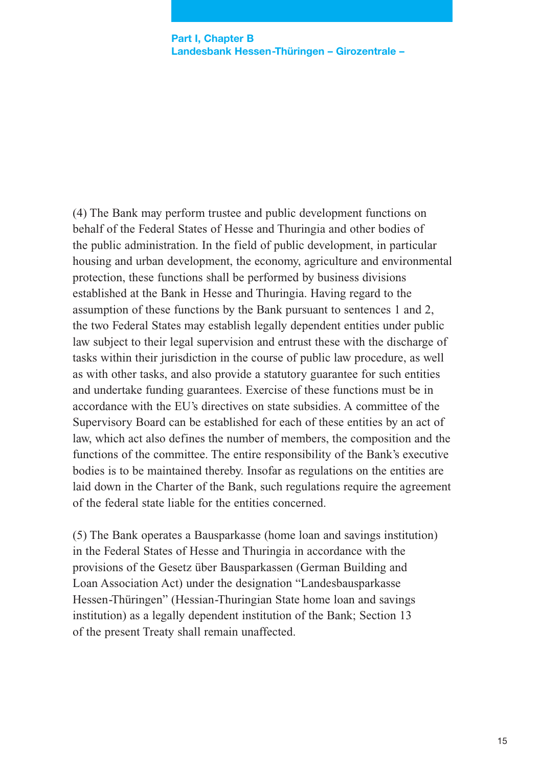(4) The Bank may perform trustee and public development functions on behalf of the Federal States of Hesse and Thuringia and other bodies of the public administration. In the field of public development, in particular housing and urban development, the economy, agriculture and environmental protection, these functions shall be performed by business divisions established at the Bank in Hesse and Thuringia. Having regard to the assumption of these functions by the Bank pursuant to sentences 1 and 2, the two Federal States may establish legally dependent entities under public law subject to their legal supervision and entrust these with the discharge of tasks within their jurisdiction in the course of public law procedure, as well as with other tasks, and also provide a statutory guarantee for such entities and undertake funding guarantees. Exercise of these functions must be in accordance with the EU's directives on state subsidies. A committee of the Supervisory Board can be established for each of these entities by an act of law, which act also defines the number of members, the composition and the functions of the committee. The entire responsibility of the Bank's executive bodies is to be maintained thereby. Insofar as regulations on the entities are laid down in the Charter of the Bank, such regulations require the agreement of the federal state liable for the entities concerned.

(5) The Bank operates a Bausparkasse (home loan and savings institution) in the Federal States of Hesse and Thuringia in accordance with the provisions of the Gesetz über Bausparkassen (German Building and Loan Association Act) under the designation "Landesbausparkasse Hessen-Thüringen" (Hessian-Thuringian State home loan and savings institution) as a legally dependent institution of the Bank; Section 13 of the present Treaty shall remain unaffected.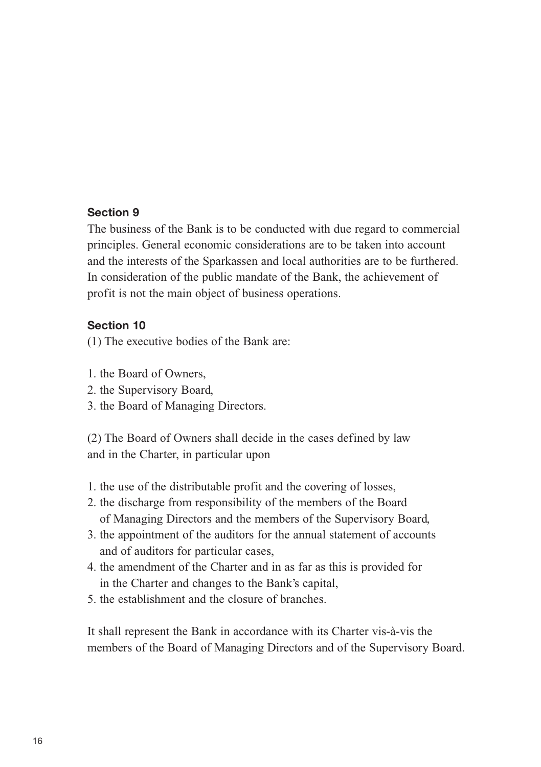## **Section 9**

The business of the Bank is to be conducted with due regard to commercial principles. General economic considerations are to be taken into account and the interests of the Sparkassen and local authorities are to be furthered. In consideration of the public mandate of the Bank, the achievement of profit is not the main object of business operations.

## **Section 10**

(1) The executive bodies of the Bank are:

- 1. the Board of Owners,
- 2. the Supervisory Board,
- 3. the Board of Managing Directors.

(2) The Board of Owners shall decide in the cases defined by law and in the Charter, in particular upon

- 1. the use of the distributable profit and the covering of losses,
- 2. the discharge from responsibility of the members of the Board of Managing Directors and the members of the Supervisory Board,
- 3. the appointment of the auditors for the annual statement of accounts and of auditors for particular cases,
- 4. the amendment of the Charter and in as far as this is provided for in the Charter and changes to the Bank's capital,
- 5. the establishment and the closure of branches.

It shall represent the Bank in accordance with its Charter vis-à-vis the members of the Board of Managing Directors and of the Supervisory Board.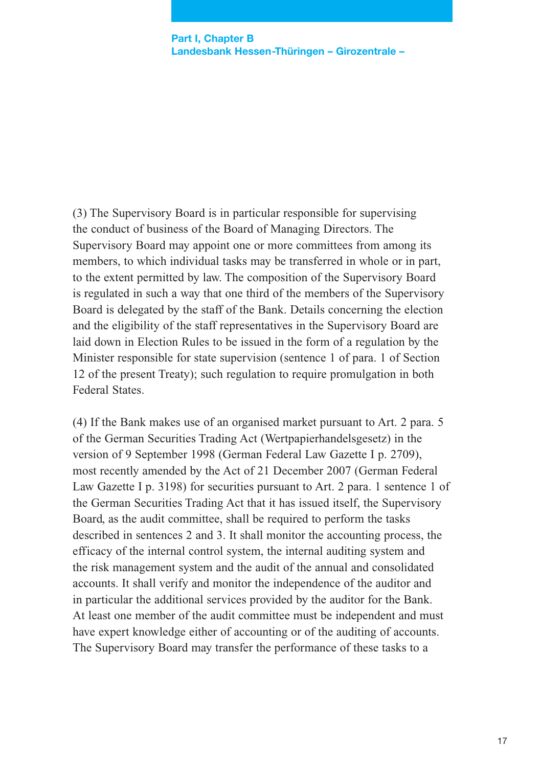(3) The Supervisory Board is in particular responsible for supervising the conduct of business of the Board of Managing Directors. The Supervisory Board may appoint one or more committees from among its members, to which individual tasks may be transferred in whole or in part, to the extent permitted by law. The composition of the Supervisory Board is regulated in such a way that one third of the members of the Supervisory Board is delegated by the staff of the Bank. Details concerning the election and the eligibility of the staff representatives in the Supervisory Board are laid down in Election Rules to be issued in the form of a regulation by the Minister responsible for state supervision (sentence 1 of para. 1 of Section 12 of the present Treaty); such regulation to require promulgation in both Federal States.

(4) If the Bank makes use of an organised market pursuant to Art. 2 para. 5 of the German Securities Trading Act (Wertpapierhandelsgesetz) in the version of 9 September 1998 (German Federal Law Gazette I p. 2709), most recently amended by the Act of 21 December 2007 (German Federal Law Gazette I p. 3198) for securities pursuant to Art. 2 para. 1 sentence 1 of the German Securities Trading Act that it has issued itself, the Supervisory Board, as the audit committee, shall be required to perform the tasks described in sentences 2 and 3. It shall monitor the accounting process, the efficacy of the internal control system, the internal auditing system and the risk management system and the audit of the annual and consolidated accounts. It shall verify and monitor the independence of the auditor and in particular the additional services provided by the auditor for the Bank. At least one member of the audit committee must be independent and must have expert knowledge either of accounting or of the auditing of accounts. The Supervisory Board may transfer the performance of these tasks to a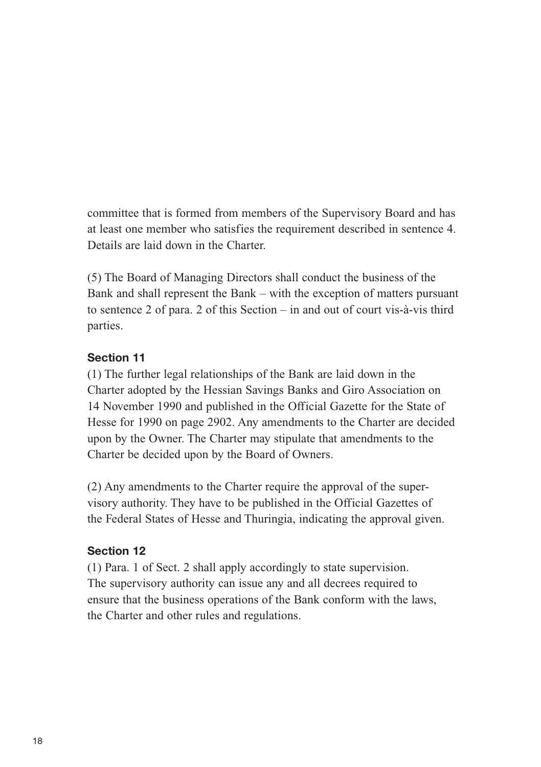committee that is formed from members of the Supervisory Board and has at least one member who satisfies the requirement described in sentence 4. Details are laid down in the Charter.

(5) The Board of Managing Directors shall conduct the business of the Bank and shall represent the Bank – with the exception of matters pursuant to sentence 2 of para. 2 of this Section – in and out of court vis-à-vis third parties.

## **Section 11**

(1) The further legal relationships of the Bank are laid down in the Charter adopted by the Hessian Savings Banks and Giro Association on 14 November 1990 and published in the Official Gazette for the State of Hesse for 1990 on page 2902. Any amendments to the Charter are decided upon by the Owner. The Charter may stipulate that amendments to the Charter be decided upon by the Board of Owners.

(2) Any amendments to the Charter require the approval of the supervisory authority. They have to be published in the Official Gazettes of the Federal States of Hesse and Thuringia, indicating the approval given.

## **Section 12**

(1) Para. 1 of Sect. 2 shall apply accordingly to state supervision. The supervisory authority can issue any and all decrees required to ensure that the business operations of the Bank conform with the laws, the Charter and other rules and regulations.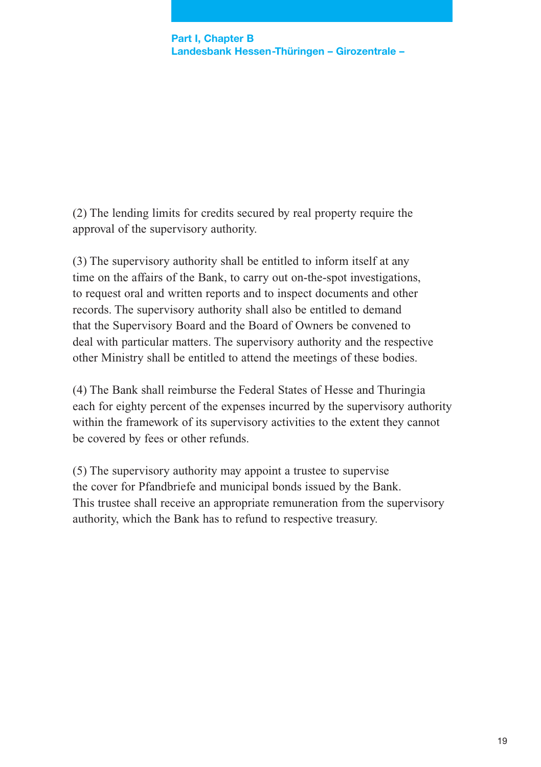(2) The lending limits for credits secured by real property require the approval of the supervisory authority.

(3) The supervisory authority shall be entitled to inform itself at any time on the affairs of the Bank, to carry out on-the-spot investigations, to request oral and written reports and to inspect documents and other records. The supervisory authority shall also be entitled to demand that the Supervisory Board and the Board of Owners be convened to deal with particular matters. The supervisory authority and the respective other Ministry shall be entitled to attend the meetings of these bodies.

(4) The Bank shall reimburse the Federal States of Hesse and Thuringia each for eighty percent of the expenses incurred by the supervisory authority within the framework of its supervisory activities to the extent they cannot be covered by fees or other refunds.

(5) The supervisory authority may appoint a trustee to supervise the cover for Pfandbriefe and municipal bonds issued by the Bank. This trustee shall receive an appropriate remuneration from the supervisory authority, which the Bank has to refund to respective treasury.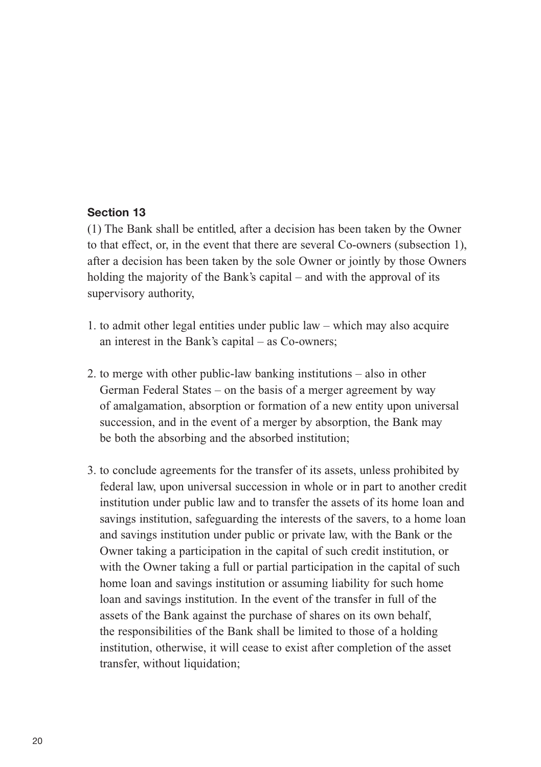## **Section 13**

(1) The Bank shall be entitled, after a decision has been taken by the Owner to that effect, or, in the event that there are several Co-owners (subsection 1), after a decision has been taken by the sole Owner or jointly by those Owners holding the majority of the Bank's capital – and with the approval of its supervisory authority,

- 1. to admit other legal entities under public law which may also acquire an interest in the Bank's capital – as Co-owners;
- 2. to merge with other public-law banking institutions also in other German Federal States – on the basis of a merger agreement by way of amalgamation, absorption or formation of a new entity upon universal succession, and in the event of a merger by absorption, the Bank may be both the absorbing and the absorbed institution;
- 3. to conclude agreements for the transfer of its assets, unless prohibited by federal law, upon universal succession in whole or in part to another credit institution under public law and to transfer the assets of its home loan and savings institution, safeguarding the interests of the savers, to a home loan and savings institution under public or private law, with the Bank or the Owner taking a participation in the capital of such credit institution, or with the Owner taking a full or partial participation in the capital of such home loan and savings institution or assuming liability for such home loan and savings institution. In the event of the transfer in full of the assets of the Bank against the purchase of shares on its own behalf, the responsibilities of the Bank shall be limited to those of a holding institution, otherwise, it will cease to exist after completion of the asset transfer, without liquidation;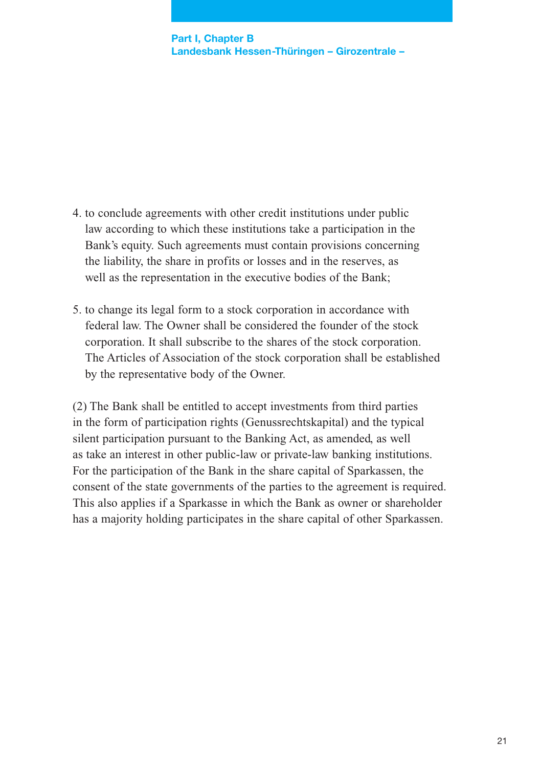- 4. to conclude agreements with other credit institutions under public law according to which these institutions take a participation in the Bank's equity. Such agreements must contain provisions concerning the liability, the share in profits or losses and in the reserves, as well as the representation in the executive bodies of the Bank;
- 5. to change its legal form to a stock corporation in accordance with federal law. The Owner shall be considered the founder of the stock corporation. It shall subscribe to the shares of the stock corporation. The Articles of Association of the stock corporation shall be established by the representative body of the Owner.

(2) The Bank shall be entitled to accept investments from third parties in the form of participation rights (Genussrechtskapital) and the typical silent participation pursuant to the Banking Act, as amended, as well as take an interest in other public-law or private-law banking institutions. For the participation of the Bank in the share capital of Sparkassen, the consent of the state governments of the parties to the agreement is required. This also applies if a Sparkasse in which the Bank as owner or shareholder has a majority holding participates in the share capital of other Sparkassen.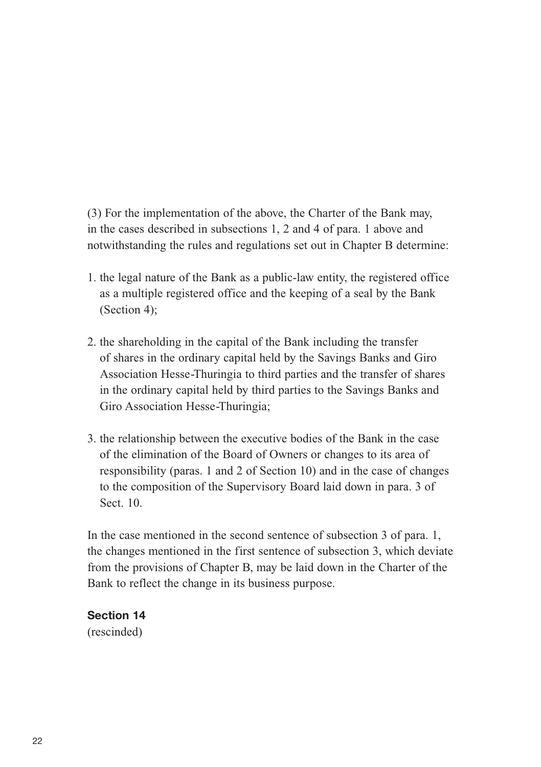(3) For the implementation of the above, the Charter of the Bank may, in the cases described in subsections 1, 2 and 4 of para. 1 above and notwithstanding the rules and regulations set out in Chapter B determine:

- 1. the legal nature of the Bank as a public-law entity, the registered office as a multiple registered office and the keeping of a seal by the Bank (Section 4);
- 2. the shareholding in the capital of the Bank including the transfer of shares in the ordinary capital held by the Savings Banks and Giro Association Hesse-Thuringia to third parties and the transfer of shares in the ordinary capital held by third parties to the Savings Banks and Giro Association Hesse-Thuringia;
- 3. the relationship between the executive bodies of the Bank in the case of the elimination of the Board of Owners or changes to its area of responsibility (paras. 1 and 2 of Section 10) and in the case of changes to the composition of the Supervisory Board laid down in para. 3 of Sect. 10.

In the case mentioned in the second sentence of subsection 3 of para. 1, the changes mentioned in the first sentence of subsection 3, which deviate from the provisions of Chapter B, may be laid down in the Charter of the Bank to reflect the change in its business purpose.

## **Section 14**

(rescinded)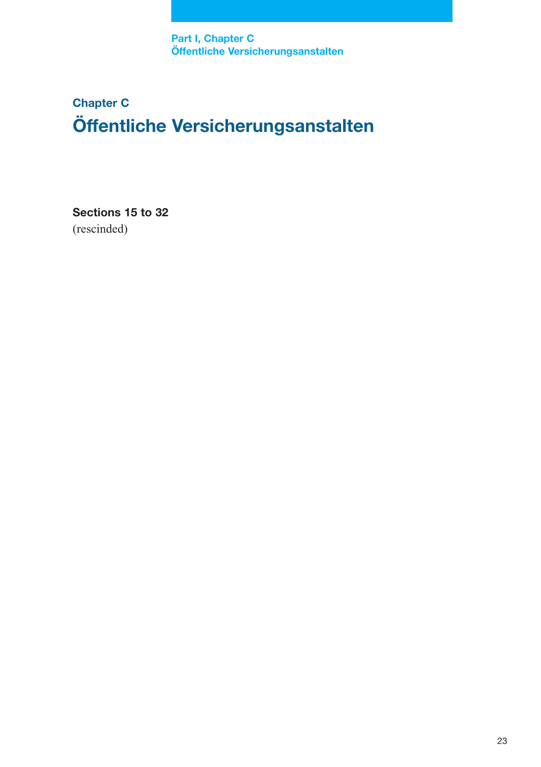**Part I, Chapter C Öffentliche Versicherungsanstalten**

## **Chapter C Öffentliche Versicherungsanstalten**

**Sections 15 to 32** (rescinded)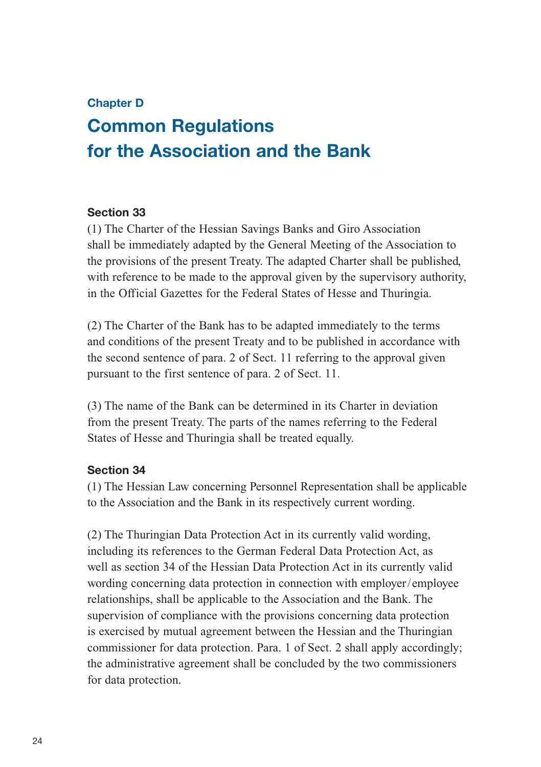## **Chapter D**

# **Common Regulations for the Association and the Bank**

## **Section 33**

(1) The Charter of the Hessian Savings Banks and Giro Association shall be immediately adapted by the General Meeting of the Association to the provisions of the present Treaty. The adapted Charter shall be published, with reference to be made to the approval given by the supervisory authority, in the Official Gazettes for the Federal States of Hesse and Thuringia.

(2) The Charter of the Bank has to be adapted immediately to the terms and conditions of the present Treaty and to be published in accordance with the second sentence of para. 2 of Sect. 11 referring to the approval given pursuant to the first sentence of para. 2 of Sect. 11.

(3) The name of the Bank can be determined in its Charter in deviation from the present Treaty. The parts of the names referring to the Federal States of Hesse and Thuringia shall be treated equally.

## **Section 34**

(1) The Hessian Law concerning Personnel Representation shall be applicable to the Association and the Bank in its respectively current wording.

(2) The Thuringian Data Protection Act in its currently valid wording, including its references to the German Federal Data Protection Act, as well as section 34 of the Hessian Data Protection Act in its currently valid wording concerning data protection in connection with employer/employee relationships, shall be applicable to the Association and the Bank. The supervision of compliance with the provisions concerning data protection is exercised by mutual agreement between the Hessian and the Thuringian commissioner for data protection. Para. 1 of Sect. 2 shall apply accordingly; the administrative agreement shall be concluded by the two commissioners for data protection.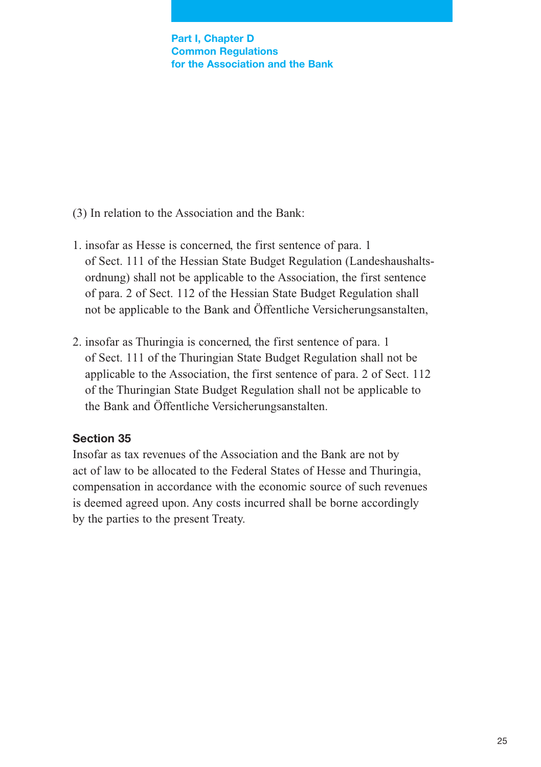**Part I, Chapter D Common Regulations for the Association and the Bank** 

- (3) In relation to the Association and the Bank:
- 1. insofar as Hesse is concerned, the first sentence of para. 1 of Sect. 111 of the Hessian State Budget Regulation (Landeshaushaltsordnung) shall not be applicable to the Association, the first sentence of para. 2 of Sect. 112 of the Hessian State Budget Regulation shall not be applicable to the Bank and Öffentliche Versicherungsanstalten,
- 2. insofar as Thuringia is concerned, the first sentence of para. 1 of Sect. 111 of the Thuringian State Budget Regulation shall not be applicable to the Association, the first sentence of para. 2 of Sect. 112 of the Thuringian State Budget Regulation shall not be applicable to the Bank and Öffentliche Versicherungsanstalten.

## **Section 35**

Insofar as tax revenues of the Association and the Bank are not by act of law to be allocated to the Federal States of Hesse and Thuringia, compensation in accordance with the economic source of such revenues is deemed agreed upon. Any costs incurred shall be borne accordingly by the parties to the present Treaty.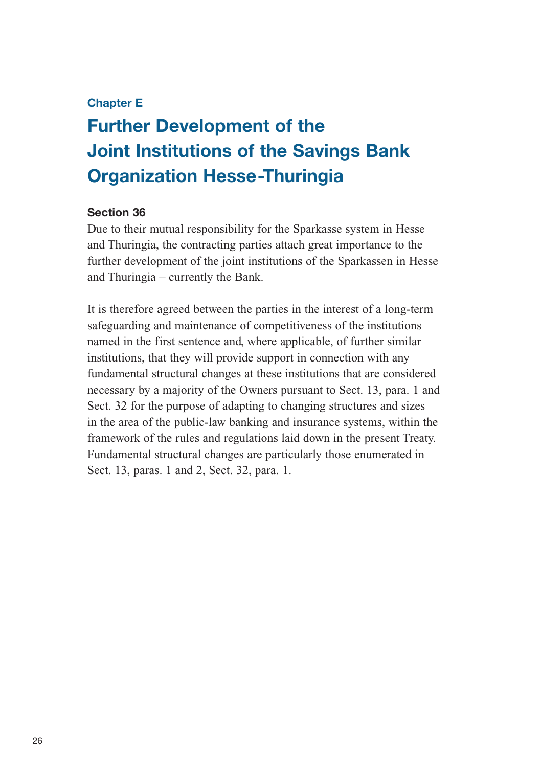## **Chapter E**

# **Further Development of the Joint Institutions of the Savings Bank Organization Hesse-Thuringia**

## **Section 36**

Due to their mutual responsibility for the Sparkasse system in Hesse and Thuringia, the contracting parties attach great importance to the further development of the joint institutions of the Sparkassen in Hesse and Thuringia – currently the Bank.

It is therefore agreed between the parties in the interest of a long-term safeguarding and maintenance of competitiveness of the institutions named in the first sentence and, where applicable, of further similar institutions, that they will provide support in connection with any fundamental structural changes at these institutions that are considered necessary by a majority of the Owners pursuant to Sect. 13, para. 1 and Sect. 32 for the purpose of adapting to changing structures and sizes in the area of the public-law banking and insurance systems, within the framework of the rules and regulations laid down in the present Treaty. Fundamental structural changes are particularly those enumerated in Sect. 13, paras. 1 and 2, Sect. 32, para. 1.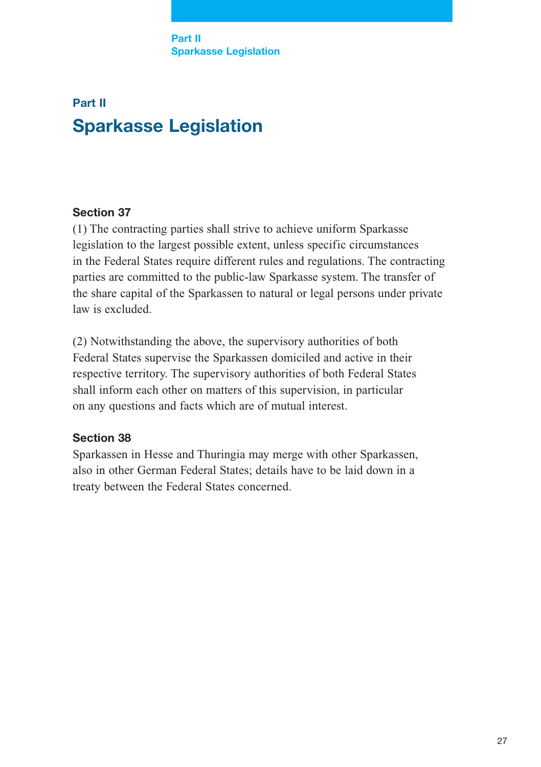## **Part II Sparkasse Legislation**

## **Section 37**

(1) The contracting parties shall strive to achieve uniform Sparkasse legislation to the largest possible extent, unless specific circumstances in the Federal States require different rules and regulations. The contracting parties are committed to the public-law Sparkasse system. The transfer of the share capital of the Sparkassen to natural or legal persons under private law is excluded.

(2) Notwithstanding the above, the supervisory authorities of both Federal States supervise the Sparkassen domiciled and active in their respective territory. The supervisory authorities of both Federal States shall inform each other on matters of this supervision, in particular on any questions and facts which are of mutual interest.

## **Section 38**

Sparkassen in Hesse and Thuringia may merge with other Sparkassen, also in other German Federal States; details have to be laid down in a treaty between the Federal States concerned.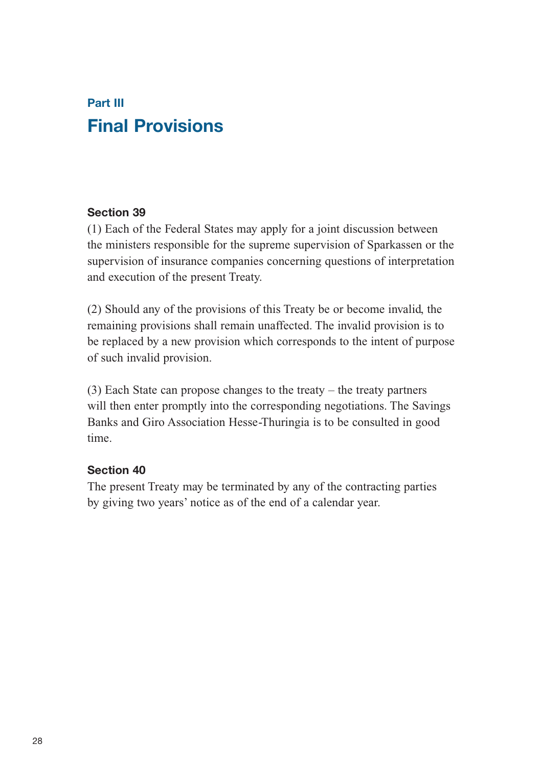## **Part III Final Provisions**

## **Section 39**

(1) Each of the Federal States may apply for a joint discussion between the ministers responsible for the supreme supervision of Sparkassen or the supervision of insurance companies concerning questions of interpretation and execution of the present Treaty.

(2) Should any of the provisions of this Treaty be or become invalid, the remaining provisions shall remain unaffected. The invalid provision is to be replaced by a new provision which corresponds to the intent of purpose of such invalid provision.

(3) Each State can propose changes to the treaty – the treaty partners will then enter promptly into the corresponding negotiations. The Savings Banks and Giro Association Hesse-Thuringia is to be consulted in good time.

## **Section 40**

The present Treaty may be terminated by any of the contracting parties by giving two years' notice as of the end of a calendar year.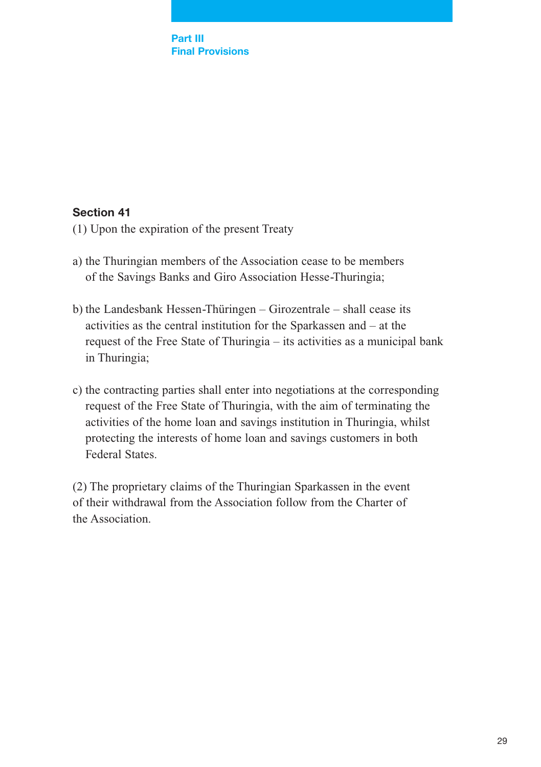

## **Section 41**

- (1) Upon the expiration of the present Treaty
- a) the Thuringian members of the Association cease to be members of the Savings Banks and Giro Association Hesse-Thuringia;
- b) the Landesbank Hessen-Thüringen Girozentrale shall cease its activities as the central institution for the Sparkassen and – at the request of the Free State of Thuringia – its activities as a municipal bank in Thuringia;
- c) the contracting parties shall enter into negotiations at the corresponding request of the Free State of Thuringia, with the aim of terminating the activities of the home loan and savings institution in Thuringia, whilst protecting the interests of home loan and savings customers in both Federal States.

(2) The proprietary claims of the Thuringian Sparkassen in the event of their withdrawal from the Association follow from the Charter of the Association.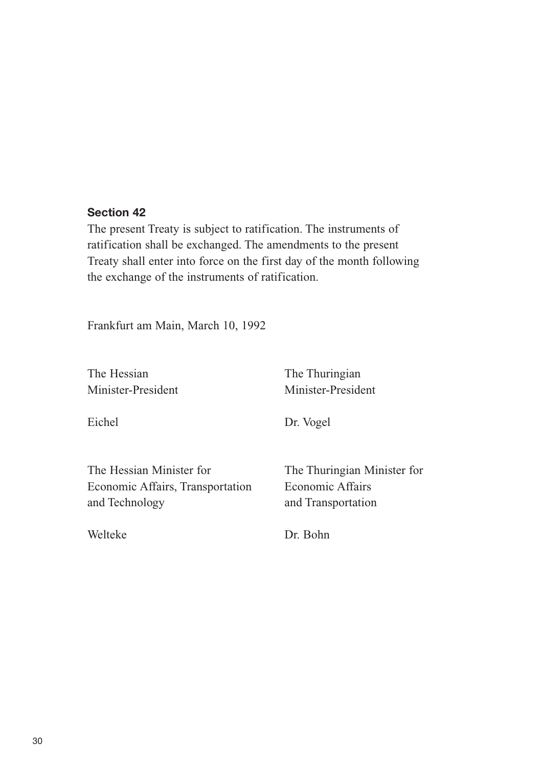## **Section 42**

The present Treaty is subject to ratification. The instruments of ratification shall be exchanged. The amendments to the present Treaty shall enter into force on the first day of the month following the exchange of the instruments of ratification.

Frankfurt am Main, March 10, 1992

The Hessian The Thuringian

Minister-President Minister-President

Eichel Dr. Vogel

The Hessian Minister for The Thuringian Minister for Economic Affairs, Transportation Economic Affairs and Technology and Transportation

Welteke Dr. Bohn